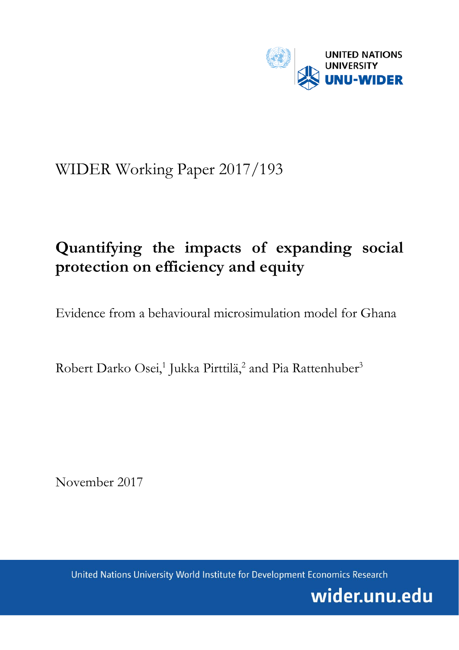

## WIDER Working Paper 2017/193

# **Quantifying the impacts of expanding social protection on efficiency and equity**

Evidence from a behavioural microsimulation model for Ghana

Robert Darko Osei,<sup>1</sup> Jukka Pirttilä,<sup>2</sup> and Pia Rattenhuber<sup>3</sup>

November 2017

United Nations University World Institute for Development Economics Research

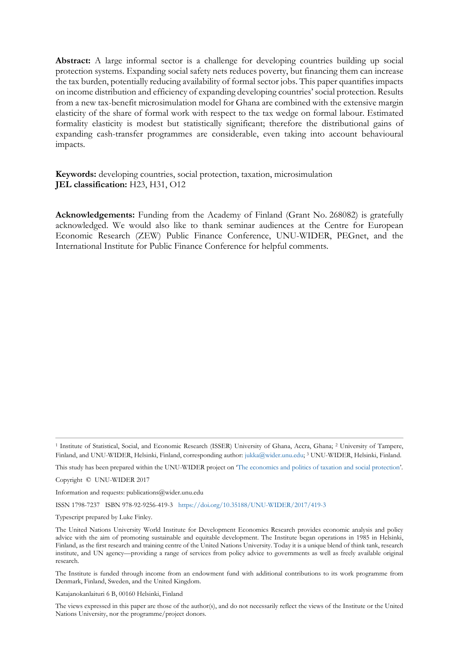**Abstract:** A large informal sector is a challenge for developing countries building up social protection systems. Expanding social safety nets reduces poverty, but financing them can increase the tax burden, potentially reducing availability of formal sector jobs. This paper quantifies impacts on income distribution and efficiency of expanding developing countries' social protection. Results from a new tax-benefit microsimulation model for Ghana are combined with the extensive margin elasticity of the share of formal work with respect to the tax wedge on formal labour. Estimated formality elasticity is modest but statistically significant; therefore the distributional gains of expanding cash-transfer programmes are considerable, even taking into account behavioural impacts.

**Keywords:** developing countries, social protection, taxation, microsimulation **JEL classification:** H23, H31, O12

**Acknowledgements:** Funding from the Academy of Finland (Grant No. 268082) is gratefully acknowledged. We would also like to thank seminar audiences at the Centre for European Economic Research (ZEW) Public Finance Conference, UNU-WIDER, PEGnet, and the International Institute for Public Finance Conference for helpful comments.

<sup>1</sup> Institute of Statistical, Social, and Economic Research (ISSER) University of Ghana, Accra, Ghana; <sup>2</sup> University of Tampere, Finland, and UNU-WIDER, Helsinki, Finland, corresponding author: [jukka@wider.unu.edu;](mailto:jukka@wider.unu.edu) <sup>3</sup> UNU-WIDER, Helsinki, Finland.

This study has been prepared within the UNU-WIDER project on ['The economics and politics of taxation and](https://www.wider.unu.edu/node/367) social protection'.

Copyright © UNU-WIDER 2017

Information and requests: publications@wider.unu.edu

ISSN 1798-7237 ISBN 978-92-9256-419-3 <https://doi.org/10.35188/UNU-WIDER/2017/419-3>

Typescript prepared by Luke Finley.

The United Nations University World Institute for Development Economics Research provides economic analysis and policy advice with the aim of promoting sustainable and equitable development. The Institute began operations in 1985 in Helsinki, Finland, as the first research and training centre of the United Nations University. Today it is a unique blend of think tank, research institute, and UN agency—providing a range of services from policy advice to governments as well as freely available original research.

The Institute is funded through income from an endowment fund with additional contributions to its work programme from Denmark, Finland, Sweden, and the United Kingdom.

Katajanokanlaituri 6 B, 00160 Helsinki, Finland

The views expressed in this paper are those of the author(s), and do not necessarily reflect the views of the Institute or the United Nations University, nor the programme/project donors.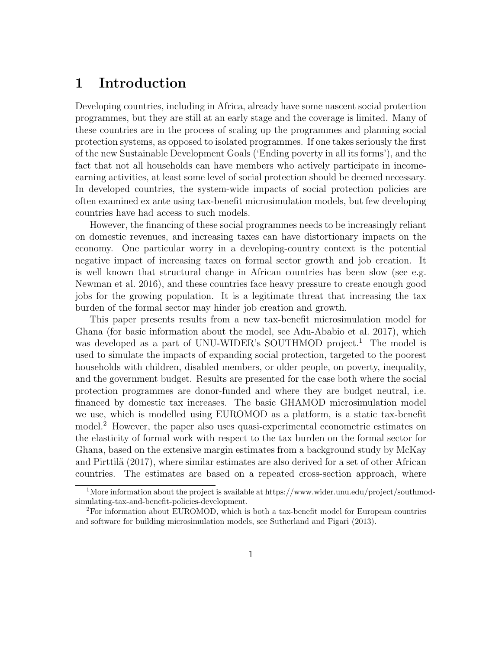## 1 Introduction

Developing countries, including in Africa, already have some nascent social protection programmes, but they are still at an early stage and the coverage is limited. Many of these countries are in the process of scaling up the programmes and planning social protection systems, as opposed to isolated programmes. If one takes seriously the first of the new Sustainable Development Goals ('Ending poverty in all its forms'), and the fact that not all households can have members who actively participate in incomeearning activities, at least some level of social protection should be deemed necessary. In developed countries, the system-wide impacts of social protection policies are often examined ex ante using tax-benefit microsimulation models, but few developing countries have had access to such models.

However, the financing of these social programmes needs to be increasingly reliant on domestic revenues, and increasing taxes can have distortionary impacts on the economy. One particular worry in a developing-country context is the potential negative impact of increasing taxes on formal sector growth and job creation. It is well known that structural change in African countries has been slow (see e.g. Newman et al. 2016), and these countries face heavy pressure to create enough good jobs for the growing population. It is a legitimate threat that increasing the tax burden of the formal sector may hinder job creation and growth.

This paper presents results from a new tax-benefit microsimulation model for Ghana (for basic information about the model, see Adu-Ababio et al. 2017), which was developed as a part of UNU-WIDER's SOUTHMOD project.<sup>1</sup> The model is used to simulate the impacts of expanding social protection, targeted to the poorest households with children, disabled members, or older people, on poverty, inequality, and the government budget. Results are presented for the case both where the social protection programmes are donor-funded and where they are budget neutral, i.e. financed by domestic tax increases. The basic GHAMOD microsimulation model we use, which is modelled using EUROMOD as a platform, is a static tax-benefit model.<sup>2</sup> However, the paper also uses quasi-experimental econometric estimates on the elasticity of formal work with respect to the tax burden on the formal sector for Ghana, based on the extensive margin estimates from a background study by McKay and Pirttilä (2017), where similar estimates are also derived for a set of other African countries. The estimates are based on a repeated cross-section approach, where

<sup>&</sup>lt;sup>1</sup>More information about the project is available at https://www.wider.unu.edu/project/southmodsimulating-tax-and-benefit-policies-development.

<sup>2</sup>For information about EUROMOD, which is both a tax-benefit model for European countries and software for building microsimulation models, see Sutherland and Figari (2013).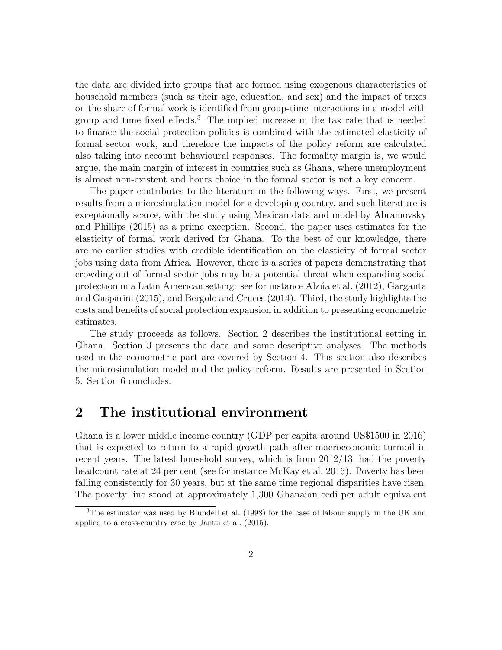the data are divided into groups that are formed using exogenous characteristics of household members (such as their age, education, and sex) and the impact of taxes on the share of formal work is identified from group-time interactions in a model with group and time fixed effects.<sup>3</sup> The implied increase in the tax rate that is needed to finance the social protection policies is combined with the estimated elasticity of formal sector work, and therefore the impacts of the policy reform are calculated also taking into account behavioural responses. The formality margin is, we would argue, the main margin of interest in countries such as Ghana, where unemployment is almost non-existent and hours choice in the formal sector is not a key concern.

The paper contributes to the literature in the following ways. First, we present results from a microsimulation model for a developing country, and such literature is exceptionally scarce, with the study using Mexican data and model by Abramovsky and Phillips (2015) as a prime exception. Second, the paper uses estimates for the elasticity of formal work derived for Ghana. To the best of our knowledge, there are no earlier studies with credible identification on the elasticity of formal sector jobs using data from Africa. However, there is a series of papers demonstrating that crowding out of formal sector jobs may be a potential threat when expanding social protection in a Latin American setting: see for instance Alz´ua et al. (2012), Garganta and Gasparini (2015), and Bergolo and Cruces (2014). Third, the study highlights the costs and benefits of social protection expansion in addition to presenting econometric estimates.

The study proceeds as follows. Section 2 describes the institutional setting in Ghana. Section 3 presents the data and some descriptive analyses. The methods used in the econometric part are covered by Section 4. This section also describes the microsimulation model and the policy reform. Results are presented in Section 5. Section 6 concludes.

## 2 The institutional environment

Ghana is a lower middle income country (GDP per capita around US\$1500 in 2016) that is expected to return to a rapid growth path after macroeconomic turmoil in recent years. The latest household survey, which is from 2012/13, had the poverty headcount rate at 24 per cent (see for instance McKay et al. 2016). Poverty has been falling consistently for 30 years, but at the same time regional disparities have risen. The poverty line stood at approximately 1,300 Ghanaian cedi per adult equivalent

<sup>3</sup>The estimator was used by Blundell et al. (1998) for the case of labour supply in the UK and applied to a cross-country case by Jäntti et al.  $(2015)$ .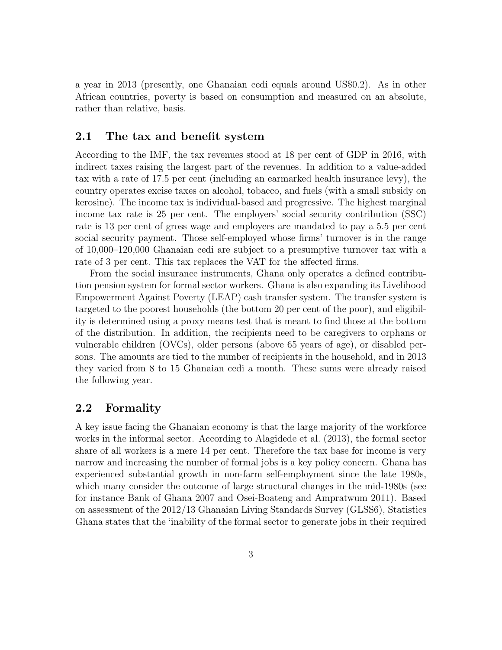a year in 2013 (presently, one Ghanaian cedi equals around US\$0.2). As in other African countries, poverty is based on consumption and measured on an absolute, rather than relative, basis.

#### 2.1 The tax and benefit system

According to the IMF, the tax revenues stood at 18 per cent of GDP in 2016, with indirect taxes raising the largest part of the revenues. In addition to a value-added tax with a rate of 17.5 per cent (including an earmarked health insurance levy), the country operates excise taxes on alcohol, tobacco, and fuels (with a small subsidy on kerosine). The income tax is individual-based and progressive. The highest marginal income tax rate is 25 per cent. The employers' social security contribution (SSC) rate is 13 per cent of gross wage and employees are mandated to pay a 5.5 per cent social security payment. Those self-employed whose firms' turnover is in the range of 10,000–120,000 Ghanaian cedi are subject to a presumptive turnover tax with a rate of 3 per cent. This tax replaces the VAT for the affected firms.

From the social insurance instruments, Ghana only operates a defined contribution pension system for formal sector workers. Ghana is also expanding its Livelihood Empowerment Against Poverty (LEAP) cash transfer system. The transfer system is targeted to the poorest households (the bottom 20 per cent of the poor), and eligibility is determined using a proxy means test that is meant to find those at the bottom of the distribution. In addition, the recipients need to be caregivers to orphans or vulnerable children (OVCs), older persons (above 65 years of age), or disabled persons. The amounts are tied to the number of recipients in the household, and in 2013 they varied from 8 to 15 Ghanaian cedi a month. These sums were already raised the following year.

#### 2.2 Formality

A key issue facing the Ghanaian economy is that the large majority of the workforce works in the informal sector. According to Alagidede et al. (2013), the formal sector share of all workers is a mere 14 per cent. Therefore the tax base for income is very narrow and increasing the number of formal jobs is a key policy concern. Ghana has experienced substantial growth in non-farm self-employment since the late 1980s, which many consider the outcome of large structural changes in the mid-1980s (see for instance Bank of Ghana 2007 and Osei-Boateng and Ampratwum 2011). Based on assessment of the 2012/13 Ghanaian Living Standards Survey (GLSS6), Statistics Ghana states that the 'inability of the formal sector to generate jobs in their required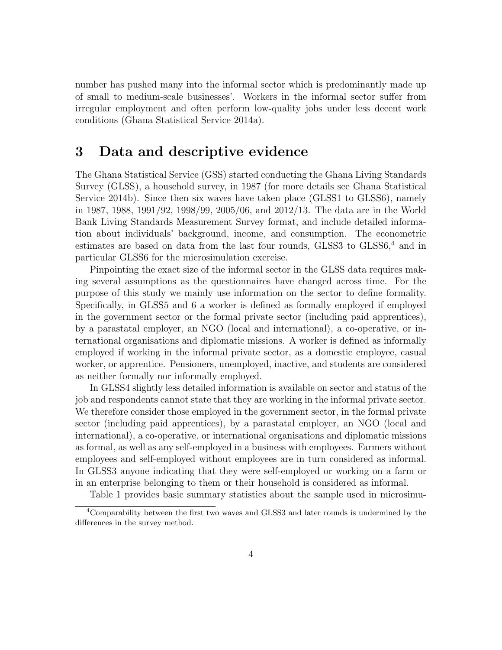number has pushed many into the informal sector which is predominantly made up of small to medium-scale businesses'. Workers in the informal sector suffer from irregular employment and often perform low-quality jobs under less decent work conditions (Ghana Statistical Service 2014a).

## 3 Data and descriptive evidence

The Ghana Statistical Service (GSS) started conducting the Ghana Living Standards Survey (GLSS), a household survey, in 1987 (for more details see Ghana Statistical Service 2014b). Since then six waves have taken place (GLSS1 to GLSS6), namely in 1987, 1988, 1991/92, 1998/99, 2005/06, and 2012/13. The data are in the World Bank Living Standards Measurement Survey format, and include detailed information about individuals' background, income, and consumption. The econometric estimates are based on data from the last four rounds,  $GLSS3$  to  $GLSS6<sup>4</sup>$  and in particular GLSS6 for the microsimulation exercise.

Pinpointing the exact size of the informal sector in the GLSS data requires making several assumptions as the questionnaires have changed across time. For the purpose of this study we mainly use information on the sector to define formality. Specifically, in GLSS5 and 6 a worker is defined as formally employed if employed in the government sector or the formal private sector (including paid apprentices), by a parastatal employer, an NGO (local and international), a co-operative, or international organisations and diplomatic missions. A worker is defined as informally employed if working in the informal private sector, as a domestic employee, casual worker, or apprentice. Pensioners, unemployed, inactive, and students are considered as neither formally nor informally employed.

In GLSS4 slightly less detailed information is available on sector and status of the job and respondents cannot state that they are working in the informal private sector. We therefore consider those employed in the government sector, in the formal private sector (including paid apprentices), by a parastatal employer, an NGO (local and international), a co-operative, or international organisations and diplomatic missions as formal, as well as any self-employed in a business with employees. Farmers without employees and self-employed without employees are in turn considered as informal. In GLSS3 anyone indicating that they were self-employed or working on a farm or in an enterprise belonging to them or their household is considered as informal.

Table 1 provides basic summary statistics about the sample used in microsimu-

<sup>4</sup>Comparability between the first two waves and GLSS3 and later rounds is undermined by the differences in the survey method.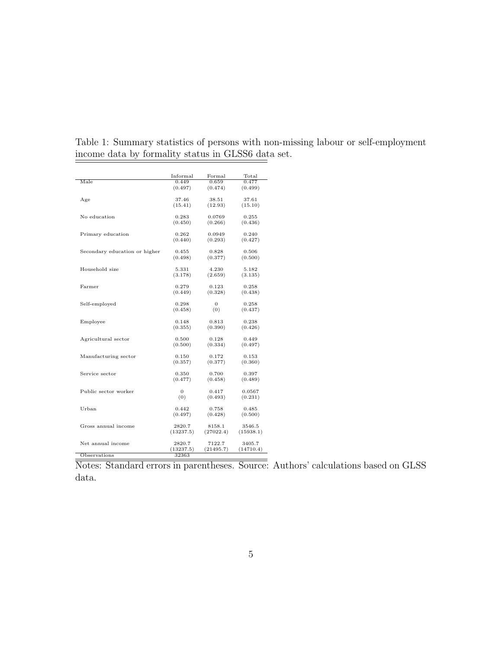|                               | Informal       | Formal    | Total     |
|-------------------------------|----------------|-----------|-----------|
| Male                          | 0.449          | 0.659     | 0.477     |
|                               | (0.497)        | (0.474)   | (0.499)   |
|                               | 37.46          | 38.51     | 37.61     |
| Age                           | (15.41)        | (12.93)   | (15.10)   |
|                               |                |           |           |
| No education                  | 0.283          | 0.0769    | 0.255     |
|                               | (0.450)        | (0.266)   | (0.436)   |
|                               |                |           |           |
| Primary education             | 0.262          | 0.0949    | 0.240     |
|                               | (0.440)        | (0.293)   | (0.427)   |
|                               |                |           |           |
| Secondary education or higher | 0.455          | 0.828     | 0.506     |
|                               | (0.498)        | (0.377)   | (0.500)   |
|                               |                |           |           |
| Household size                | 5.331          | 4.230     | 5.182     |
|                               | (3.178)        | (2.659)   | (3.135)   |
|                               |                |           |           |
| Farmer                        | 0.279          | 0.123     | 0.258     |
|                               | (0.449)        | (0.328)   | (0.438)   |
|                               |                |           |           |
| Self-employed                 | 0.298          | $\theta$  | 0.258     |
|                               | (0.458)        | (0)       | (0.437)   |
|                               |                |           |           |
| Employee                      | 0.148          | 0.813     | 0.238     |
|                               | (0.355)        | (0.390)   | (0.426)   |
|                               |                |           |           |
| Agricultural sector           | 0.500          | 0.128     | 0.449     |
|                               | (0.500)        | (0.334)   | (0.497)   |
|                               |                |           |           |
| Manufacturing sector          | 0.150          | 0.172     | 0.153     |
|                               | (0.357)        | (0.377)   | (0.360)   |
|                               |                |           |           |
| Service sector                | 0.350          | 0.700     | 0.397     |
|                               | (0.477)        | (0.458)   | (0.489)   |
|                               |                |           |           |
| Public sector worker          | $\overline{0}$ | 0.417     | 0.0567    |
|                               | (0)            | (0.493)   | (0.231)   |
|                               |                |           |           |
| Urban                         | 0.442          | 0.758     | 0.485     |
|                               | (0.497)        | (0.428)   | (0.500)   |
|                               |                |           |           |
| Gross annual income           | 2820.7         | 8158.1    | 3546.5    |
|                               | (13237.5)      | (27022.4) | (15938.1) |
|                               |                |           |           |
| Net annual income             | 2820.7         | 7122.7    | 3405.7    |
|                               | (13237.5)      | (21495.7) | (14710.4) |
| Observations                  | 32363          |           |           |

Table 1: Summary statistics of persons with non-missing labour or self-employment income data by formality status in GLSS6 data set.

Notes: Standard errors in parentheses. Source: Authors' calculations based on GLSS data.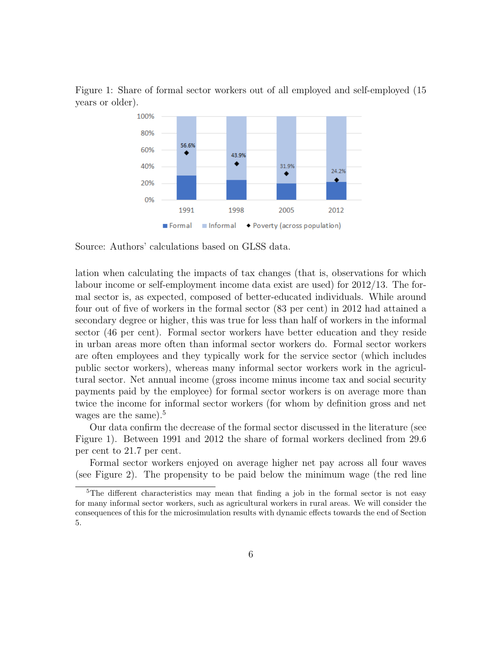

Figure 1: Share of formal sector workers out of all employed and self-employed (15 years or older).

Source: Authors' calculations based on GLSS data.

lation when calculating the impacts of tax changes (that is, observations for which labour income or self-employment income data exist are used) for 2012/13. The formal sector is, as expected, composed of better-educated individuals. While around four out of five of workers in the formal sector (83 per cent) in 2012 had attained a secondary degree or higher, this was true for less than half of workers in the informal sector (46 per cent). Formal sector workers have better education and they reside in urban areas more often than informal sector workers do. Formal sector workers are often employees and they typically work for the service sector (which includes public sector workers), whereas many informal sector workers work in the agricultural sector. Net annual income (gross income minus income tax and social security payments paid by the employee) for formal sector workers is on average more than twice the income for informal sector workers (for whom by definition gross and net wages are the same).<sup>5</sup>

Our data confirm the decrease of the formal sector discussed in the literature (see Figure 1). Between 1991 and 2012 the share of formal workers declined from 29.6 per cent to 21.7 per cent.

Formal sector workers enjoyed on average higher net pay across all four waves (see Figure 2). The propensity to be paid below the minimum wage (the red line

<sup>5</sup>The different characteristics may mean that finding a job in the formal sector is not easy for many informal sector workers, such as agricultural workers in rural areas. We will consider the consequences of this for the microsimulation results with dynamic effects towards the end of Section 5.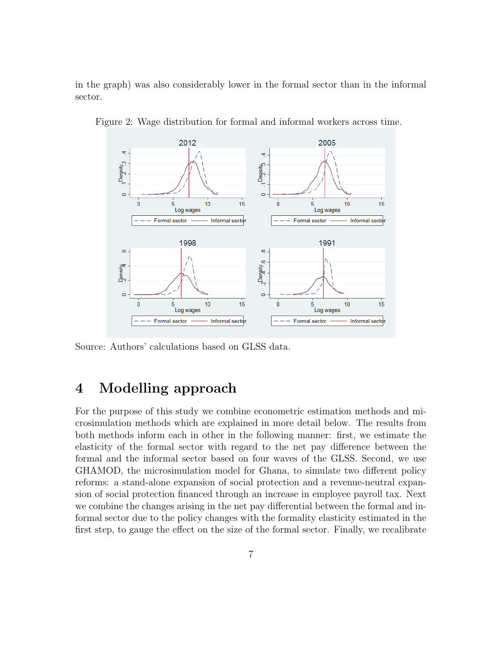in the graph) was also considerably lower in the formal sector than in the informal sector.



Figure 2: Wage distribution for formal and informal workers across time.

Source: Authors' calculations based on GLSS data.

## 4 Modelling approach

For the purpose of this study we combine econometric estimation methods and microsimulation methods which are explained in more detail below. The results from both methods inform each in other in the following manner: first, we estimate the elasticity of the formal sector with regard to the net pay difference between the formal and the informal sector based on four waves of the GLSS. Second, we use GHAMOD, the microsimulation model for Ghana, to simulate two different policy reforms: a stand-alone expansion of social protection and a revenue-neutral expansion of social protection financed through an increase in employee payroll tax. Next we combine the changes arising in the net pay differential between the formal and informal sector due to the policy changes with the formality elasticity estimated in the first step, to gauge the effect on the size of the formal sector. Finally, we recalibrate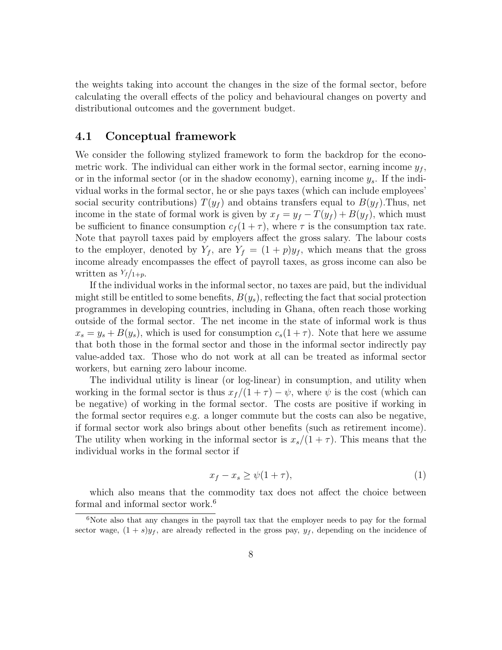the weights taking into account the changes in the size of the formal sector, before calculating the overall effects of the policy and behavioural changes on poverty and distributional outcomes and the government budget.

#### 4.1 Conceptual framework

We consider the following stylized framework to form the backdrop for the econometric work. The individual can either work in the formal sector, earning income  $y_f$ , or in the informal sector (or in the shadow economy), earning income  $y_s$ . If the individual works in the formal sector, he or she pays taxes (which can include employees' social security contributions)  $T(y_f)$  and obtains transfers equal to  $B(y_f)$ . Thus, net income in the state of formal work is given by  $x_f = y_f - T(y_f) + B(y_f)$ , which must be sufficient to finance consumption  $c_f (1 + \tau)$ , where  $\tau$  is the consumption tax rate. Note that payroll taxes paid by employers affect the gross salary. The labour costs to the employer, denoted by  $Y_f$ , are  $Y_f = (1+p)y_f$ , which means that the gross income already encompasses the effect of payroll taxes, as gross income can also be written as  $Y_f/1+p$ .

If the individual works in the informal sector, no taxes are paid, but the individual might still be entitled to some benefits,  $B(y_s)$ , reflecting the fact that social protection programmes in developing countries, including in Ghana, often reach those working outside of the formal sector. The net income in the state of informal work is thus  $x_s = y_s + B(y_s)$ , which is used for consumption  $c_s(1+\tau)$ . Note that here we assume that both those in the formal sector and those in the informal sector indirectly pay value-added tax. Those who do not work at all can be treated as informal sector workers, but earning zero labour income.

The individual utility is linear (or log-linear) in consumption, and utility when working in the formal sector is thus  $x_f/(1 + \tau) - \psi$ , where  $\psi$  is the cost (which can be negative) of working in the formal sector. The costs are positive if working in the formal sector requires e.g. a longer commute but the costs can also be negative, if formal sector work also brings about other benefits (such as retirement income). The utility when working in the informal sector is  $x_s/(1+\tau)$ . This means that the individual works in the formal sector if

$$
x_f - x_s \ge \psi(1+\tau),\tag{1}
$$

which also means that the commodity tax does not affect the choice between formal and informal sector work.<sup>6</sup>

<sup>&</sup>lt;sup>6</sup>Note also that any changes in the payroll tax that the employer needs to pay for the formal sector wage,  $(1 + s)y_f$ , are already reflected in the gross pay,  $y_f$ , depending on the incidence of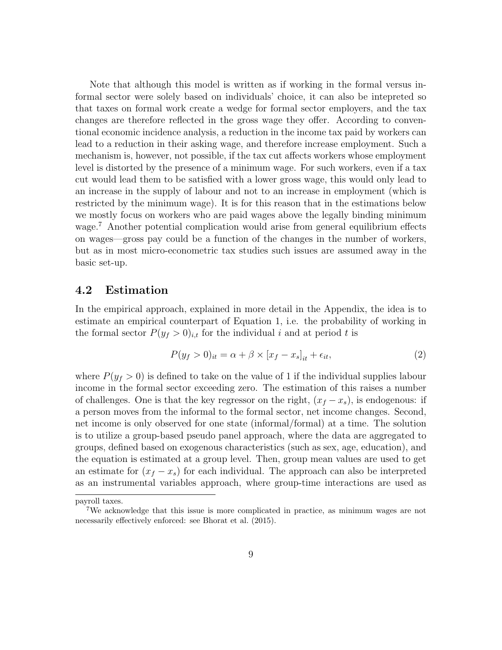Note that although this model is written as if working in the formal versus informal sector were solely based on individuals' choice, it can also be intepreted so that taxes on formal work create a wedge for formal sector employers, and the tax changes are therefore reflected in the gross wage they offer. According to conventional economic incidence analysis, a reduction in the income tax paid by workers can lead to a reduction in their asking wage, and therefore increase employment. Such a mechanism is, however, not possible, if the tax cut affects workers whose employment level is distorted by the presence of a minimum wage. For such workers, even if a tax cut would lead them to be satisfied with a lower gross wage, this would only lead to an increase in the supply of labour and not to an increase in employment (which is restricted by the minimum wage). It is for this reason that in the estimations below we mostly focus on workers who are paid wages above the legally binding minimum wage.<sup>7</sup> Another potential complication would arise from general equilibrium effects on wages—gross pay could be a function of the changes in the number of workers, but as in most micro-econometric tax studies such issues are assumed away in the basic set-up.

#### 4.2 Estimation

In the empirical approach, explained in more detail in the Appendix, the idea is to estimate an empirical counterpart of Equation 1, i.e. the probability of working in the formal sector  $P(y_f > 0)_{i,t}$  for the individual i and at period t is

$$
P(y_f > 0)_{it} = \alpha + \beta \times [x_f - x_s]_{it} + \epsilon_{it},
$$
\n(2)

where  $P(y_f > 0)$  is defined to take on the value of 1 if the individual supplies labour income in the formal sector exceeding zero. The estimation of this raises a number of challenges. One is that the key regressor on the right,  $(x_f - x_s)$ , is endogenous: if a person moves from the informal to the formal sector, net income changes. Second, net income is only observed for one state (informal/formal) at a time. The solution is to utilize a group-based pseudo panel approach, where the data are aggregated to groups, defined based on exogenous characteristics (such as sex, age, education), and the equation is estimated at a group level. Then, group mean values are used to get an estimate for  $(x_f - x_s)$  for each individual. The approach can also be interpreted as an instrumental variables approach, where group-time interactions are used as

payroll taxes.

<sup>7</sup>We acknowledge that this issue is more complicated in practice, as minimum wages are not necessarily effectively enforced: see Bhorat et al. (2015).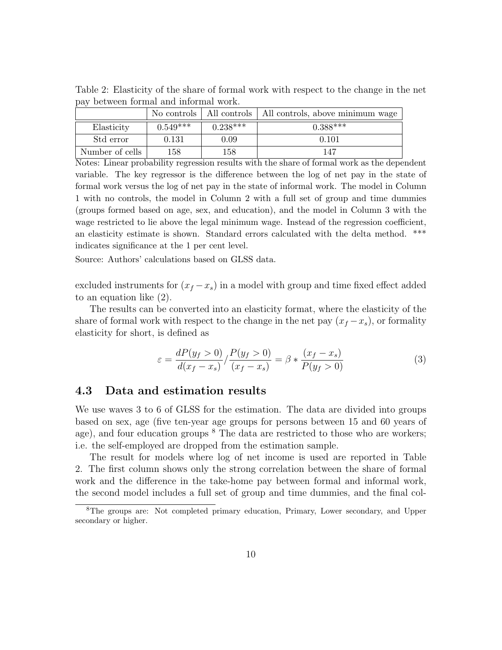Table 2: Elasticity of the share of formal work with respect to the change in the net pay between formal and informal work.

|                 |            |            | No controls   All controls   All controls, above minimum wage |
|-----------------|------------|------------|---------------------------------------------------------------|
| Elasticity      | $0.549***$ | $0.238***$ | $0.388***$                                                    |
| Std error       | 0.131      | 0.09       | 0.101                                                         |
| Number of cells | 158        | 158        | 147                                                           |

Notes: Linear probability regression results with the share of formal work as the dependent variable. The key regressor is the difference between the log of net pay in the state of formal work versus the log of net pay in the state of informal work. The model in Column 1 with no controls, the model in Column 2 with a full set of group and time dummies (groups formed based on age, sex, and education), and the model in Column 3 with the wage restricted to lie above the legal minimum wage. Instead of the regression coefficient, an elasticity estimate is shown. Standard errors calculated with the delta method. \*\*\* indicates significance at the 1 per cent level.

Source: Authors' calculations based on GLSS data.

excluded instruments for  $(x_f - x_s)$  in a model with group and time fixed effect added to an equation like (2).

The results can be converted into an elasticity format, where the elasticity of the share of formal work with respect to the change in the net pay  $(x_f - x_s)$ , or formality elasticity for short, is defined as

$$
\varepsilon = \frac{dP(y_f > 0)}{d(x_f - x_s)} / \frac{P(y_f > 0)}{(x_f - x_s)} = \beta * \frac{(x_f - x_s)}{P(y_f > 0)}
$$
(3)

#### 4.3 Data and estimation results

We use waves 3 to 6 of GLSS for the estimation. The data are divided into groups based on sex, age (five ten-year age groups for persons between 15 and 60 years of age), and four education groups  $8$  The data are restricted to those who are workers; i.e. the self-employed are dropped from the estimation sample.

The result for models where log of net income is used are reported in Table 2. The first column shows only the strong correlation between the share of formal work and the difference in the take-home pay between formal and informal work, the second model includes a full set of group and time dummies, and the final col-

<sup>8</sup>The groups are: Not completed primary education, Primary, Lower secondary, and Upper secondary or higher.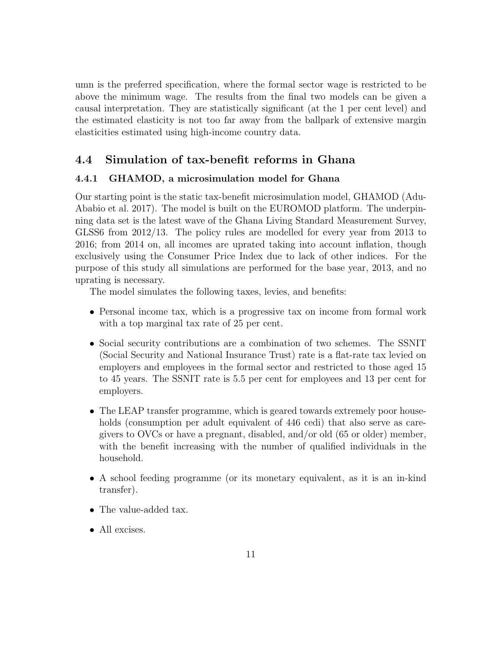umn is the preferred specification, where the formal sector wage is restricted to be above the minimum wage. The results from the final two models can be given a causal interpretation. They are statistically significant (at the 1 per cent level) and the estimated elasticity is not too far away from the ballpark of extensive margin elasticities estimated using high-income country data.

### 4.4 Simulation of tax-benefit reforms in Ghana

#### 4.4.1 GHAMOD, a microsimulation model for Ghana

Our starting point is the static tax-benefit microsimulation model, GHAMOD (Adu-Ababio et al. 2017). The model is built on the EUROMOD platform. The underpinning data set is the latest wave of the Ghana Living Standard Measurement Survey, GLSS6 from 2012/13. The policy rules are modelled for every year from 2013 to 2016; from 2014 on, all incomes are uprated taking into account inflation, though exclusively using the Consumer Price Index due to lack of other indices. For the purpose of this study all simulations are performed for the base year, 2013, and no uprating is necessary.

The model simulates the following taxes, levies, and benefits:

- Personal income tax, which is a progressive tax on income from formal work with a top marginal tax rate of 25 per cent.
- Social security contributions are a combination of two schemes. The SSNIT (Social Security and National Insurance Trust) rate is a flat-rate tax levied on employers and employees in the formal sector and restricted to those aged 15 to 45 years. The SSNIT rate is 5.5 per cent for employees and 13 per cent for employers.
- The LEAP transfer programme, which is geared towards extremely poor households (consumption per adult equivalent of 446 cedi) that also serve as caregivers to OVCs or have a pregnant, disabled, and/or old (65 or older) member, with the benefit increasing with the number of qualified individuals in the household.
- A school feeding programme (or its monetary equivalent, as it is an in-kind transfer).
- The value-added tax.
- All excises.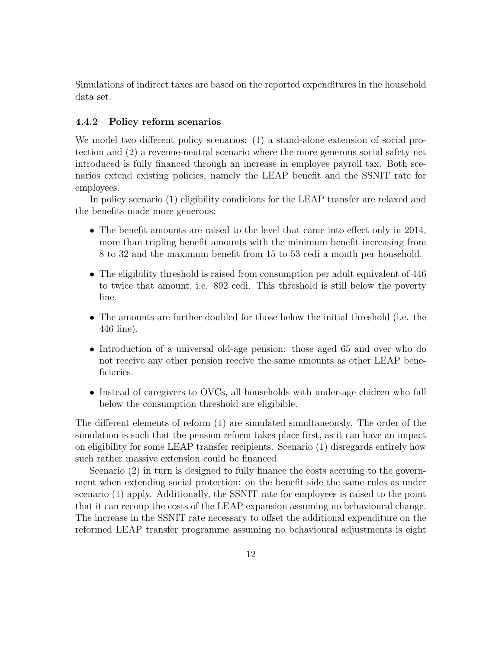Simulations of indirect taxes are based on the reported expenditures in the household data set.

#### 4.4.2 Policy reform scenarios

We model two different policy scenarios: (1) a stand-alone extension of social protection and (2) a revenue-neutral scenario where the more generous social safety net introduced is fully financed through an increase in employee payroll tax. Both scenarios extend existing policies, namely the LEAP benefit and the SSNIT rate for employees.

In policy scenario (1) eligibility conditions for the LEAP transfer are relaxed and the benefits made more generous:

- The benefit amounts are raised to the level that came into effect only in 2014, more than tripling benefit amounts with the minimum benefit increasing from 8 to 32 and the maximum benefit from 15 to 53 cedi a month per household.
- The eligibility threshold is raised from consumption per adult equivalent of 446 to twice that amount, i.e. 892 cedi. This threshold is still below the poverty line.
- The amounts are further doubled for those below the initial threshold (i.e. the 446 line).
- Introduction of a universal old-age pension: those aged 65 and over who do not receive any other pension receive the same amounts as other LEAP beneficiaries.
- Instead of caregivers to OVCs, all households with under-age chidren who fall below the consumption threshold are eligibible.

The different elements of reform (1) are simulated simultaneously. The order of the simulation is such that the pension reform takes place first, as it can have an impact on eligibility for some LEAP transfer recipients. Scenario (1) disregards entirely how such rather massive extension could be financed.

Scenario (2) in turn is designed to fully finance the costs accruing to the government when extending social protection: on the benefit side the same rules as under scenario (1) apply. Additionally, the SSNIT rate for employees is raised to the point that it can recoup the costs of the LEAP expansion assuming no behavioural change. The increase in the SSNIT rate necessary to offset the additional expenditure on the reformed LEAP transfer programme assuming no behavioural adjustments is eight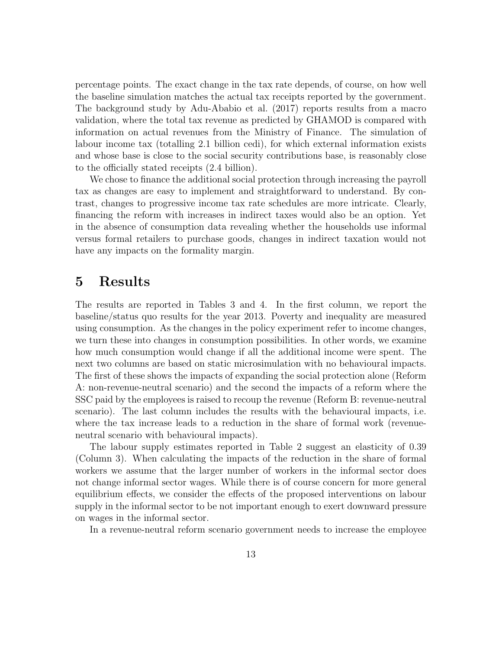percentage points. The exact change in the tax rate depends, of course, on how well the baseline simulation matches the actual tax receipts reported by the government. The background study by Adu-Ababio et al. (2017) reports results from a macro validation, where the total tax revenue as predicted by GHAMOD is compared with information on actual revenues from the Ministry of Finance. The simulation of labour income tax (totalling 2.1 billion cedi), for which external information exists and whose base is close to the social security contributions base, is reasonably close to the officially stated receipts (2.4 billion).

We chose to finance the additional social protection through increasing the payroll tax as changes are easy to implement and straightforward to understand. By contrast, changes to progressive income tax rate schedules are more intricate. Clearly, financing the reform with increases in indirect taxes would also be an option. Yet in the absence of consumption data revealing whether the households use informal versus formal retailers to purchase goods, changes in indirect taxation would not have any impacts on the formality margin.

### 5 Results

The results are reported in Tables 3 and 4. In the first column, we report the baseline/status quo results for the year 2013. Poverty and inequality are measured using consumption. As the changes in the policy experiment refer to income changes, we turn these into changes in consumption possibilities. In other words, we examine how much consumption would change if all the additional income were spent. The next two columns are based on static microsimulation with no behavioural impacts. The first of these shows the impacts of expanding the social protection alone (Reform A: non-revenue-neutral scenario) and the second the impacts of a reform where the SSC paid by the employees is raised to recoup the revenue (Reform B: revenue-neutral scenario). The last column includes the results with the behavioural impacts, i.e. where the tax increase leads to a reduction in the share of formal work (revenueneutral scenario with behavioural impacts).

The labour supply estimates reported in Table 2 suggest an elasticity of 0.39 (Column 3). When calculating the impacts of the reduction in the share of formal workers we assume that the larger number of workers in the informal sector does not change informal sector wages. While there is of course concern for more general equilibrium effects, we consider the effects of the proposed interventions on labour supply in the informal sector to be not important enough to exert downward pressure on wages in the informal sector.

In a revenue-neutral reform scenario government needs to increase the employee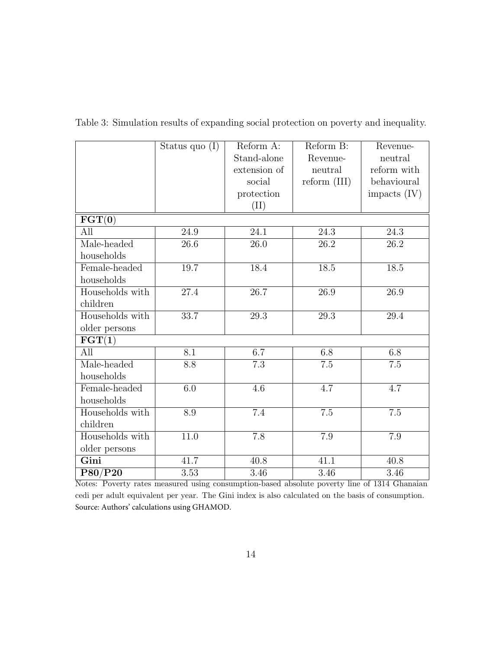|                                    | Status quo $(I)$ | Reform A:         | Reform B:      | Revenue-          |  |
|------------------------------------|------------------|-------------------|----------------|-------------------|--|
|                                    |                  | Stand-alone       | Revenue-       | neutral           |  |
|                                    |                  | extension of      | neutral        | reform with       |  |
|                                    |                  | social            | $reform$ (III) | behavioural       |  |
|                                    |                  | protection        |                | impacts $(IV)$    |  |
|                                    |                  | (II)              |                |                   |  |
|                                    |                  |                   |                |                   |  |
| $\overline{\mathbf{FGT(0)}}$       |                  |                   |                |                   |  |
| All                                | 24.9             | 24.1              | 24.3           | 24.3              |  |
| Male-headed                        | 26.6             | 26.0              | 26.2           | 26.2              |  |
| households                         |                  |                   |                |                   |  |
| Female-headed                      | 19.7             | 18.4              | 18.5           | 18.5              |  |
| households                         |                  |                   |                |                   |  |
| Households with                    | 27.4             | $\overline{26.7}$ | 26.9           | $\overline{26.9}$ |  |
| children                           |                  |                   |                |                   |  |
| Households with                    | 33.7             | 29.3              | 29.3           | 29.4              |  |
| older persons                      |                  |                   |                |                   |  |
| $\overline{\mathbf{FGT(1)}}$       |                  |                   |                |                   |  |
| All                                | 8.1              | 6.7               | 6.8            | 6.8               |  |
| Male-headed                        | $\overline{8.8}$ | 7.3               | 7.5            | $\overline{7.5}$  |  |
| households                         |                  |                   |                |                   |  |
| Female-headed                      | 6.0              | 4.6               | 4.7            | 4.7               |  |
| households                         |                  |                   |                |                   |  |
| Households with                    | 8.9              | 7.4               | 7.5            | 7.5               |  |
| children                           |                  |                   |                |                   |  |
| Households with                    | $11.0\,$         | 7.8               | 7.9            | 7.9               |  |
| older persons                      |                  |                   |                |                   |  |
| Gini                               | 41.7             | 40.8              | 41.1           | 40.8              |  |
| $\overline{\text{P}80/\text{P}20}$ | 3.53             | 3.46              | 3.46           | $3.46\,$          |  |

Table 3: Simulation results of expanding social protection on poverty and inequality.

Notes: Poverty rates measured using consumption-based absolute poverty line of 1314 Ghanaian cedi per adult equivalent per year. The Gini index is also calculated on the basis of consumption. Source: Authors' calculations using GHAMOD.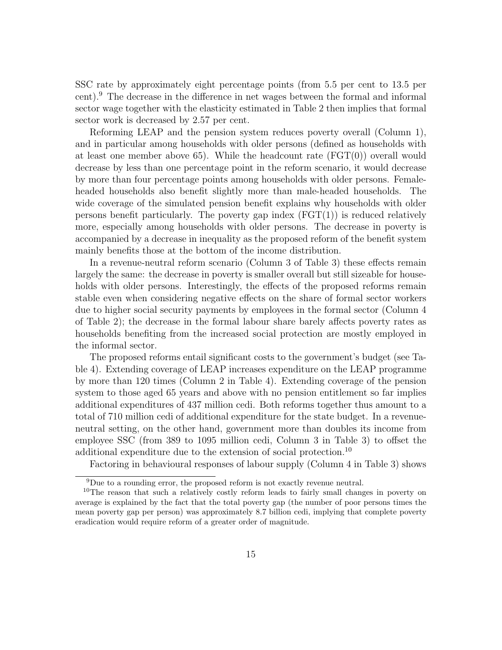SSC rate by approximately eight percentage points (from 5.5 per cent to 13.5 per cent).<sup>9</sup> The decrease in the difference in net wages between the formal and informal sector wage together with the elasticity estimated in Table 2 then implies that formal sector work is decreased by 2.57 per cent.

Reforming LEAP and the pension system reduces poverty overall (Column 1), and in particular among households with older persons (defined as households with at least one member above 65). While the headcount rate  $(FGT(0))$  overall would decrease by less than one percentage point in the reform scenario, it would decrease by more than four percentage points among households with older persons. Femaleheaded households also benefit slightly more than male-headed households. The wide coverage of the simulated pension benefit explains why households with older persons benefit particularly. The poverty gap index  $(FGT(1))$  is reduced relatively more, especially among households with older persons. The decrease in poverty is accompanied by a decrease in inequality as the proposed reform of the benefit system mainly benefits those at the bottom of the income distribution.

In a revenue-neutral reform scenario (Column 3 of Table 3) these effects remain largely the same: the decrease in poverty is smaller overall but still sizeable for households with older persons. Interestingly, the effects of the proposed reforms remain stable even when considering negative effects on the share of formal sector workers due to higher social security payments by employees in the formal sector (Column 4 of Table 2); the decrease in the formal labour share barely affects poverty rates as households benefiting from the increased social protection are mostly employed in the informal sector.

The proposed reforms entail significant costs to the government's budget (see Table 4). Extending coverage of LEAP increases expenditure on the LEAP programme by more than 120 times (Column 2 in Table 4). Extending coverage of the pension system to those aged 65 years and above with no pension entitlement so far implies additional expenditures of 437 million cedi. Both reforms together thus amount to a total of 710 million cedi of additional expenditure for the state budget. In a revenueneutral setting, on the other hand, government more than doubles its income from employee SSC (from 389 to 1095 million cedi, Column 3 in Table 3) to offset the additional expenditure due to the extension of social protection.<sup>10</sup>

Factoring in behavioural responses of labour supply (Column 4 in Table 3) shows

<sup>9</sup>Due to a rounding error, the proposed reform is not exactly revenue neutral.

<sup>&</sup>lt;sup>10</sup>The reason that such a relatively costly reform leads to fairly small changes in poverty on average is explained by the fact that the total poverty gap (the number of poor persons times the mean poverty gap per person) was approximately 8.7 billion cedi, implying that complete poverty eradication would require reform of a greater order of magnitude.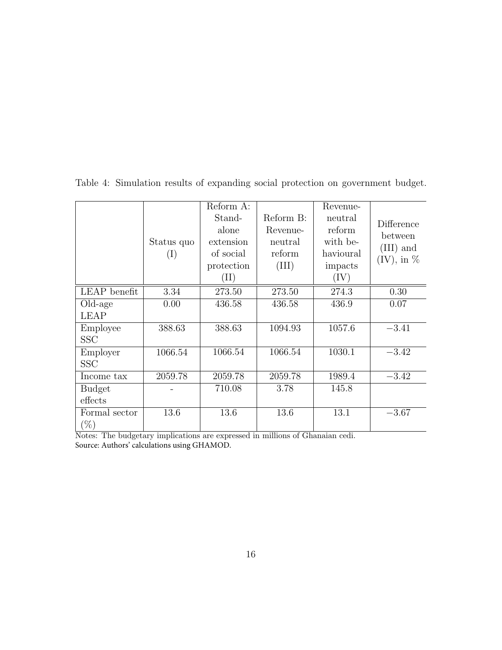|               |            | Reform A:       |           | Revenue-  |                                |
|---------------|------------|-----------------|-----------|-----------|--------------------------------|
|               |            | Stand-          | Reform B: | neutral   | Difference                     |
|               |            | alone           | Revenue-  | reform    | between                        |
|               | Status quo | extension       | neutral   | with be-  |                                |
|               | (I)        | of social       | reform    | havioural | $(III)$ and<br>$(IV)$ , in $%$ |
|               |            | protection      | (III)     | impacts   |                                |
|               |            | $(\mathrm{II})$ |           | (IV)      |                                |
| LEAP benefit  | 3.34       | 273.50          | 273.50    | 274.3     | 0.30                           |
| Old-age       | 0.00       | 436.58          | 436.58    | 436.9     | 0.07                           |
| <b>LEAP</b>   |            |                 |           |           |                                |
| Employee      | 388.63     | 388.63          | 1094.93   | 1057.6    | $-3.41$                        |
| <b>SSC</b>    |            |                 |           |           |                                |
| Employer      | 1066.54    | 1066.54         | 1066.54   | 1030.1    | $-3.42$                        |
| <b>SSC</b>    |            |                 |           |           |                                |
| Income tax    | 2059.78    | 2059.78         | 2059.78   | 1989.4    | $-3.42$                        |
| <b>Budget</b> |            | 710.08          | 3.78      | 145.8     |                                |
| effects       |            |                 |           |           |                                |
| Formal sector | 13.6       | 13.6            | 13.6      | 13.1      | $-3.67$                        |
| $(\%)$        |            |                 |           |           |                                |

Table 4: Simulation results of expanding social protection on government budget.

Notes: The budgetary implications are expressed in millions of Ghanaian cedi. Source: Authors' calculations using GHAMOD.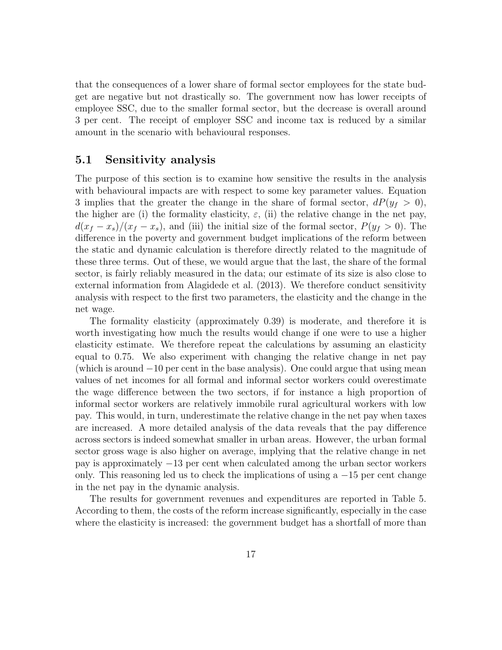that the consequences of a lower share of formal sector employees for the state budget are negative but not drastically so. The government now has lower receipts of employee SSC, due to the smaller formal sector, but the decrease is overall around 3 per cent. The receipt of employer SSC and income tax is reduced by a similar amount in the scenario with behavioural responses.

#### 5.1 Sensitivity analysis

The purpose of this section is to examine how sensitive the results in the analysis with behavioural impacts are with respect to some key parameter values. Equation 3 implies that the greater the change in the share of formal sector,  $dP(y_f > 0)$ , the higher are (i) the formality elasticity,  $\varepsilon$ , (ii) the relative change in the net pay,  $d(x_f - x_s)/(x_f - x_s)$ , and (iii) the initial size of the formal sector,  $P(y_f > 0)$ . The difference in the poverty and government budget implications of the reform between the static and dynamic calculation is therefore directly related to the magnitude of these three terms. Out of these, we would argue that the last, the share of the formal sector, is fairly reliably measured in the data; our estimate of its size is also close to external information from Alagidede et al. (2013). We therefore conduct sensitivity analysis with respect to the first two parameters, the elasticity and the change in the net wage.

The formality elasticity (approximately 0.39) is moderate, and therefore it is worth investigating how much the results would change if one were to use a higher elasticity estimate. We therefore repeat the calculations by assuming an elasticity equal to 0.75. We also experiment with changing the relative change in net pay (which is around −10 per cent in the base analysis). One could argue that using mean values of net incomes for all formal and informal sector workers could overestimate the wage difference between the two sectors, if for instance a high proportion of informal sector workers are relatively immobile rural agricultural workers with low pay. This would, in turn, underestimate the relative change in the net pay when taxes are increased. A more detailed analysis of the data reveals that the pay difference across sectors is indeed somewhat smaller in urban areas. However, the urban formal sector gross wage is also higher on average, implying that the relative change in net pay is approximately −13 per cent when calculated among the urban sector workers only. This reasoning led us to check the implications of using a  $-15$  per cent change in the net pay in the dynamic analysis.

The results for government revenues and expenditures are reported in Table 5. According to them, the costs of the reform increase significantly, especially in the case where the elasticity is increased: the government budget has a shortfall of more than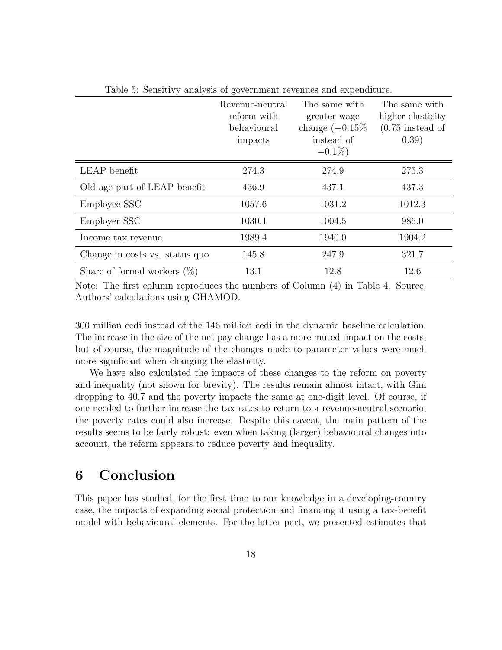|                                | Revenue-neutral<br>reform with<br>behavioural<br>impacts | The same with<br>greater wage<br>change $(-0.15\%$<br>instead of<br>$-0.1\%$ | The same with<br>higher elasticity<br>$(0.75$ instead of<br>(0.39) |
|--------------------------------|----------------------------------------------------------|------------------------------------------------------------------------------|--------------------------------------------------------------------|
| LEAP benefit                   | 274.3                                                    | 274.9                                                                        | 275.3                                                              |
| Old-age part of LEAP benefit   | 436.9                                                    | 437.1                                                                        | 437.3                                                              |
| Employee SSC                   | 1057.6                                                   | 1031.2                                                                       | 1012.3                                                             |
| Employer SSC                   | 1030.1                                                   | 1004.5                                                                       | 986.0                                                              |
| Income tax revenue             | 1989.4                                                   | 1940.0                                                                       | 1904.2                                                             |
| Change in costs vs. status quo | 145.8                                                    | 247.9                                                                        | 321.7                                                              |
| Share of formal workers $(\%)$ | 13.1                                                     | 12.8                                                                         | 12.6                                                               |

Table 5: Sensitivy analysis of government revenues and expenditure.

Note: The first column reproduces the numbers of Column (4) in Table 4. Source: Authors' calculations using GHAMOD.

300 million cedi instead of the 146 million cedi in the dynamic baseline calculation. The increase in the size of the net pay change has a more muted impact on the costs, but of course, the magnitude of the changes made to parameter values were much more significant when changing the elasticity.

We have also calculated the impacts of these changes to the reform on poverty and inequality (not shown for brevity). The results remain almost intact, with Gini dropping to 40.7 and the poverty impacts the same at one-digit level. Of course, if one needed to further increase the tax rates to return to a revenue-neutral scenario, the poverty rates could also increase. Despite this caveat, the main pattern of the results seems to be fairly robust: even when taking (larger) behavioural changes into account, the reform appears to reduce poverty and inequality.

## 6 Conclusion

This paper has studied, for the first time to our knowledge in a developing-country case, the impacts of expanding social protection and financing it using a tax-benefit model with behavioural elements. For the latter part, we presented estimates that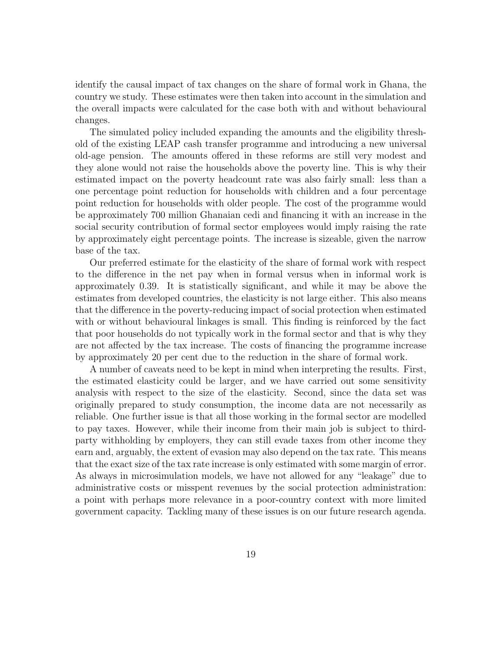identify the causal impact of tax changes on the share of formal work in Ghana, the country we study. These estimates were then taken into account in the simulation and the overall impacts were calculated for the case both with and without behavioural changes.

The simulated policy included expanding the amounts and the eligibility threshold of the existing LEAP cash transfer programme and introducing a new universal old-age pension. The amounts offered in these reforms are still very modest and they alone would not raise the households above the poverty line. This is why their estimated impact on the poverty headcount rate was also fairly small: less than a one percentage point reduction for households with children and a four percentage point reduction for households with older people. The cost of the programme would be approximately 700 million Ghanaian cedi and financing it with an increase in the social security contribution of formal sector employees would imply raising the rate by approximately eight percentage points. The increase is sizeable, given the narrow base of the tax.

Our preferred estimate for the elasticity of the share of formal work with respect to the difference in the net pay when in formal versus when in informal work is approximately 0.39. It is statistically significant, and while it may be above the estimates from developed countries, the elasticity is not large either. This also means that the difference in the poverty-reducing impact of social protection when estimated with or without behavioural linkages is small. This finding is reinforced by the fact that poor households do not typically work in the formal sector and that is why they are not affected by the tax increase. The costs of financing the programme increase by approximately 20 per cent due to the reduction in the share of formal work.

A number of caveats need to be kept in mind when interpreting the results. First, the estimated elasticity could be larger, and we have carried out some sensitivity analysis with respect to the size of the elasticity. Second, since the data set was originally prepared to study consumption, the income data are not necessarily as reliable. One further issue is that all those working in the formal sector are modelled to pay taxes. However, while their income from their main job is subject to thirdparty withholding by employers, they can still evade taxes from other income they earn and, arguably, the extent of evasion may also depend on the tax rate. This means that the exact size of the tax rate increase is only estimated with some margin of error. As always in microsimulation models, we have not allowed for any "leakage" due to administrative costs or misspent revenues by the social protection administration: a point with perhaps more relevance in a poor-country context with more limited government capacity. Tackling many of these issues is on our future research agenda.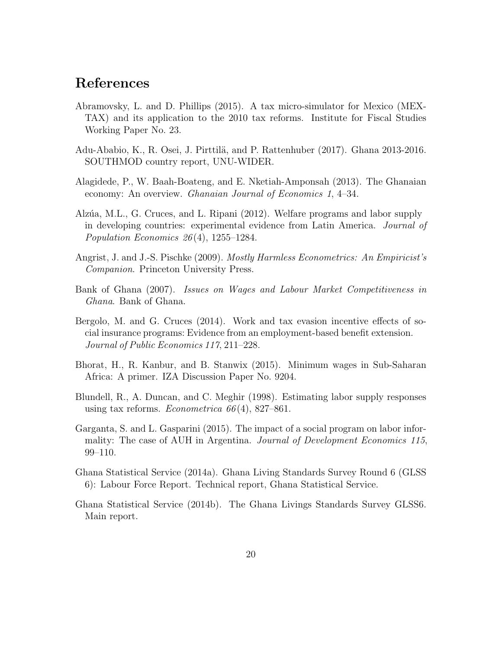## References

- Abramovsky, L. and D. Phillips (2015). A tax micro-simulator for Mexico (MEX-TAX) and its application to the 2010 tax reforms. Institute for Fiscal Studies Working Paper No. 23.
- Adu-Ababio, K., R. Osei, J. Pirttilä, and P. Rattenhuber (2017). Ghana 2013-2016. SOUTHMOD country report, UNU-WIDER.
- Alagidede, P., W. Baah-Boateng, and E. Nketiah-Amponsah (2013). The Ghanaian economy: An overview. Ghanaian Journal of Economics 1, 4–34.
- Alzúa, M.L., G. Cruces, and L. Ripani (2012). Welfare programs and labor supply in developing countries: experimental evidence from Latin America. Journal of Population Economics  $26(4)$ , 1255–1284.
- Angrist, J. and J.-S. Pischke (2009). Mostly Harmless Econometrics: An Empiricist's Companion. Princeton University Press.
- Bank of Ghana (2007). Issues on Wages and Labour Market Competitiveness in Ghana. Bank of Ghana.
- Bergolo, M. and G. Cruces (2014). Work and tax evasion incentive effects of social insurance programs: Evidence from an employment-based benefit extension. Journal of Public Economics 117, 211–228.
- Bhorat, H., R. Kanbur, and B. Stanwix (2015). Minimum wages in Sub-Saharan Africa: A primer. IZA Discussion Paper No. 9204.
- Blundell, R., A. Duncan, and C. Meghir (1998). Estimating labor supply responses using tax reforms. Econometrica  $66(4)$ , 827–861.
- Garganta, S. and L. Gasparini (2015). The impact of a social program on labor informality: The case of AUH in Argentina. Journal of Development Economics 115, 99–110.
- Ghana Statistical Service (2014a). Ghana Living Standards Survey Round 6 (GLSS 6): Labour Force Report. Technical report, Ghana Statistical Service.
- Ghana Statistical Service (2014b). The Ghana Livings Standards Survey GLSS6. Main report.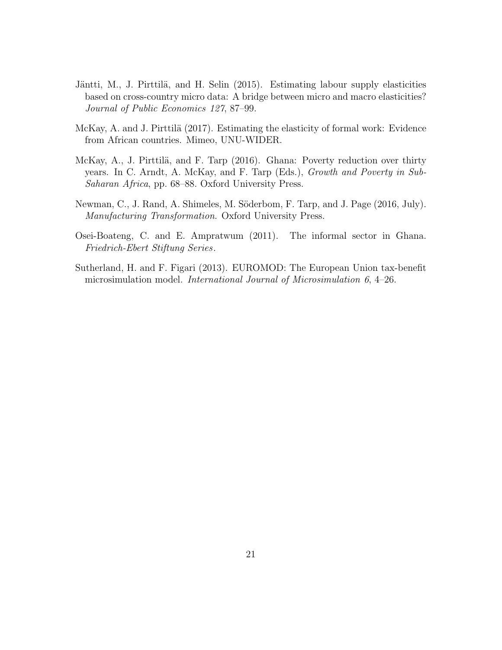- Jäntti, M., J. Pirttilä, and H. Selin (2015). Estimating labour supply elasticities based on cross-country micro data: A bridge between micro and macro elasticities? Journal of Public Economics 127, 87–99.
- McKay, A. and J. Pirttilä (2017). Estimating the elasticity of formal work: Evidence from African countries. Mimeo, UNU-WIDER.
- McKay, A., J. Pirttilä, and F. Tarp (2016). Ghana: Poverty reduction over thirty years. In C. Arndt, A. McKay, and F. Tarp (Eds.), Growth and Poverty in Sub-Saharan Africa, pp. 68–88. Oxford University Press.
- Newman, C., J. Rand, A. Shimeles, M. Söderbom, F. Tarp, and J. Page (2016, July). Manufacturing Transformation. Oxford University Press.
- Osei-Boateng, C. and E. Ampratwum (2011). The informal sector in Ghana. Friedrich-Ebert Stiftung Series.
- Sutherland, H. and F. Figari (2013). EUROMOD: The European Union tax-benefit microsimulation model. International Journal of Microsimulation 6, 4–26.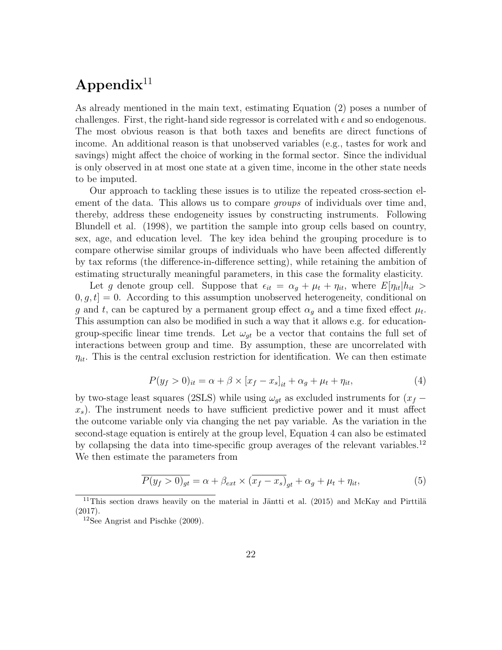## $\bf Appendix$ <sup>11</sup>

As already mentioned in the main text, estimating Equation (2) poses a number of challenges. First, the right-hand side regressor is correlated with  $\epsilon$  and so endogenous. The most obvious reason is that both taxes and benefits are direct functions of income. An additional reason is that unobserved variables (e.g., tastes for work and savings) might affect the choice of working in the formal sector. Since the individual is only observed in at most one state at a given time, income in the other state needs to be imputed.

Our approach to tackling these issues is to utilize the repeated cross-section element of the data. This allows us to compare *groups* of individuals over time and, thereby, address these endogeneity issues by constructing instruments. Following Blundell et al. (1998), we partition the sample into group cells based on country, sex, age, and education level. The key idea behind the grouping procedure is to compare otherwise similar groups of individuals who have been affected differently by tax reforms (the difference-in-difference setting), while retaining the ambition of estimating structurally meaningful parameters, in this case the formality elasticity.

Let g denote group cell. Suppose that  $\epsilon_{it} = \alpha_g + \mu_t + \eta_{it}$ , where  $E[\eta_{it}|h_{it}]$  $[0, g, t] = 0$ . According to this assumption unobserved heterogeneity, conditional on g and t, can be captured by a permanent group effect  $\alpha_g$  and a time fixed effect  $\mu_t$ . This assumption can also be modified in such a way that it allows e.g. for educationgroup-specific linear time trends. Let  $\omega_{gt}$  be a vector that contains the full set of interactions between group and time. By assumption, these are uncorrelated with  $\eta_{it}$ . This is the central exclusion restriction for identification. We can then estimate

$$
P(y_f > 0)_{it} = \alpha + \beta \times [x_f - x_s]_{it} + \alpha_g + \mu_t + \eta_{it}, \qquad (4)
$$

by two-stage least squares (2SLS) while using  $\omega_{gt}$  as excluded instruments for  $(x_f$  $x<sub>s</sub>$ ). The instrument needs to have sufficient predictive power and it must affect the outcome variable only via changing the net pay variable. As the variation in the second-stage equation is entirely at the group level, Equation 4 can also be estimated by collapsing the data into time-specific group averages of the relevant variables.<sup>12</sup> We then estimate the parameters from

$$
\overline{P(y_f > 0)_{gt}} = \alpha + \beta_{ext} \times (\overline{x_f - x_s)}_{gt} + \alpha_g + \mu_t + \eta_{it},\tag{5}
$$

 $11$ This section draws heavily on the material in Jäntti et al. (2015) and McKay and Pirttilä (2017).

<sup>12</sup>See Angrist and Pischke (2009).